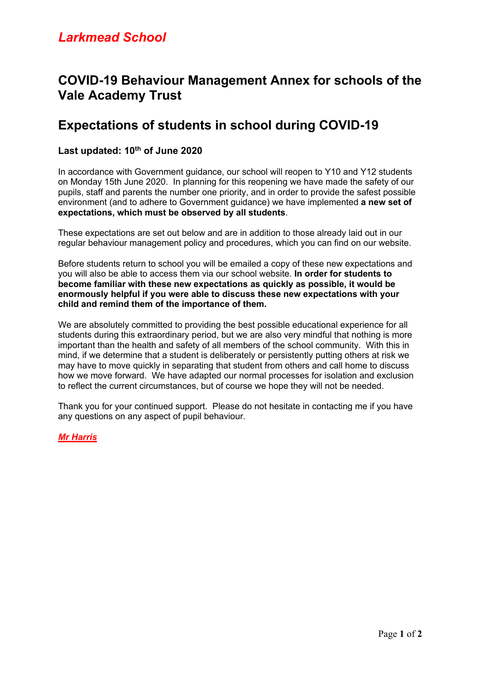# *Larkmead School*

# **COVID-19 Behaviour Management Annex for schools of the Vale Academy Trust**

# **Expectations of students in school during COVID-19**

### **Last updated: 10th of June 2020**

In accordance with Government guidance, our school will reopen to Y10 and Y12 students on Monday 15th June 2020. In planning for this reopening we have made the safety of our pupils, staff and parents the number one priority, and in order to provide the safest possible environment (and to adhere to Government guidance) we have implemented **a new set of expectations, which must be observed by all students**.

These expectations are set out below and are in addition to those already laid out in our regular behaviour management policy and procedures, which you can find on our website.

Before students return to school you will be emailed a copy of these new expectations and you will also be able to access them via our school website. **In order for students to become familiar with these new expectations as quickly as possible, it would be enormously helpful if you were able to discuss these new expectations with your child and remind them of the importance of them.**

We are absolutely committed to providing the best possible educational experience for all students during this extraordinary period, but we are also very mindful that nothing is more important than the health and safety of all members of the school community. With this in mind, if we determine that a student is deliberately or persistently putting others at risk we may have to move quickly in separating that student from others and call home to discuss how we move forward. We have adapted our normal processes for isolation and exclusion to reflect the current circumstances, but of course we hope they will not be needed.

Thank you for your continued support. Please do not hesitate in contacting me if you have any questions on any aspect of pupil behaviour.

#### *Mr Harris*